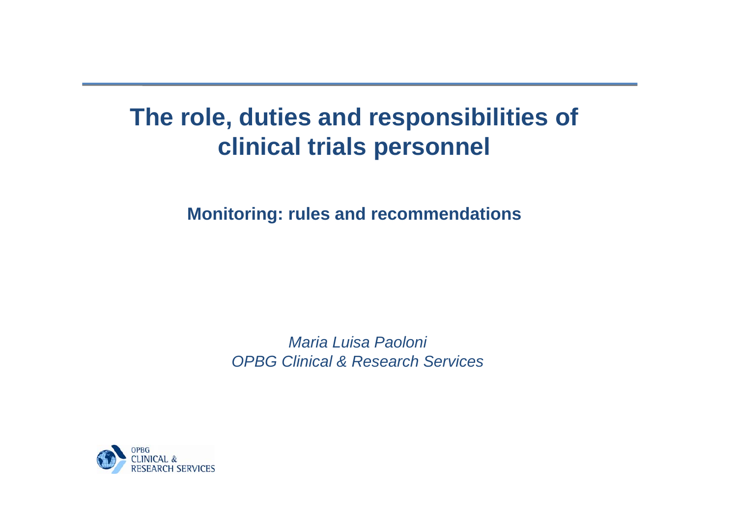# **The role, duties and responsibilities of clinical trials personnel**

**Monitoring: rules and recommendations**

*MariaLuisa Paoloni OPBG Clinical & Research Services*

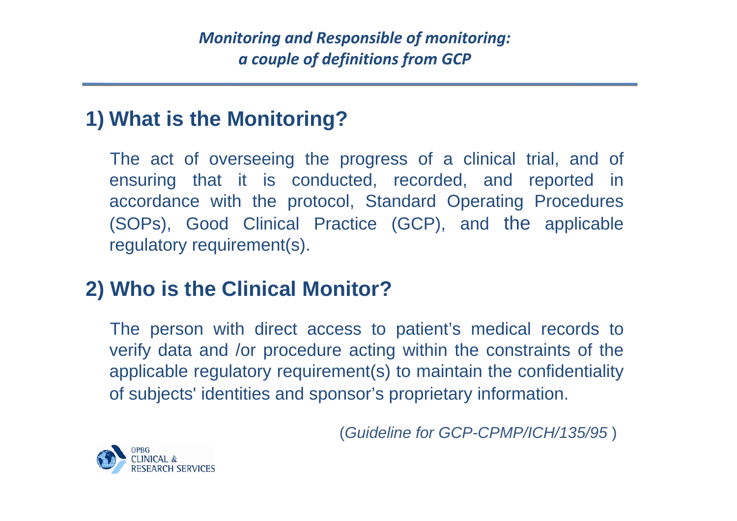*Monitoring and Responsible of monitoring: a couple of definitions from GCP*

#### **1) What is the Monitoring?**

The act of overseeing the progress of a clinical trial, and of ensuring that it is conducted, recorded, and reported in accordance with the protocol, Standard Operating Procedures (SOPs), Good Clinical Practice (GCP), and the applicable regulatory requirement(s).

#### **2) Who is the Clinical Monitor?**

The person with direct access to patient's medical records to verify data and /or procedure acting within the constraints of the applicable regulatory requirement(s) to maintain the confidentiality of subjects' identities and sponsor's proprietary information.

(*Guideline for GCP-CPMP/ICH/135/95* )

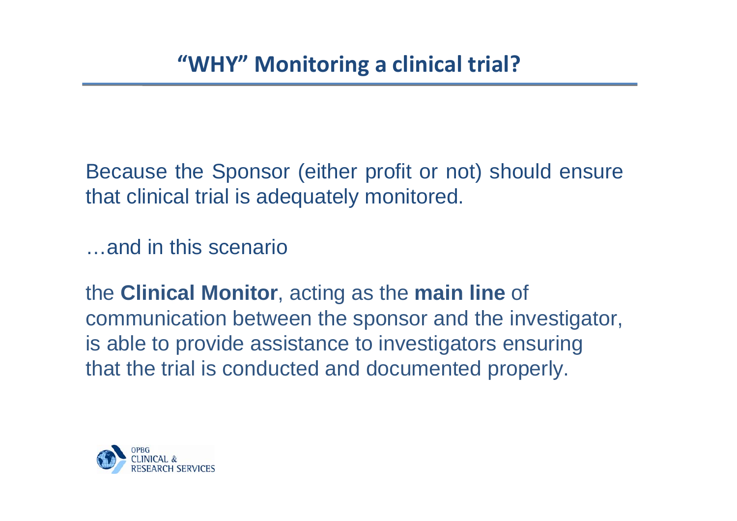Because the Sponsor (either profit or not) should ensure that clinical trial is adequately monitored.

…and in this scenario

the **Clinical Monitor**, acting as the **main line** of communication between the sponsor and the investigator, is able to provide assistance to investigators ensuring that the trial is conducted and documented properly.

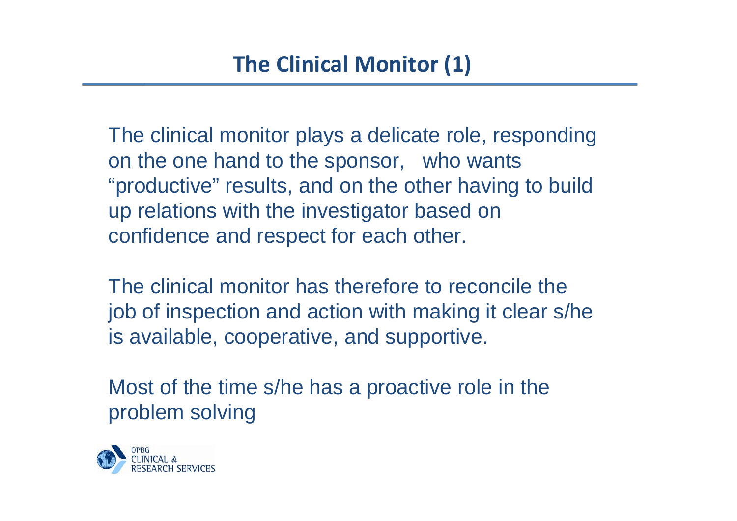The clinical monitor plays a delicate role, responding on the one hand to the sponsor, who wants "productive" results, and on the other having to build up relations with the investigator based on confidence and respect for each other.

The clinical monitor has therefore to reconcile the job of inspection and action with making it clear s/he is available, cooperative, and supportive.

Most of the time s/he has a proactive role in the problem solving

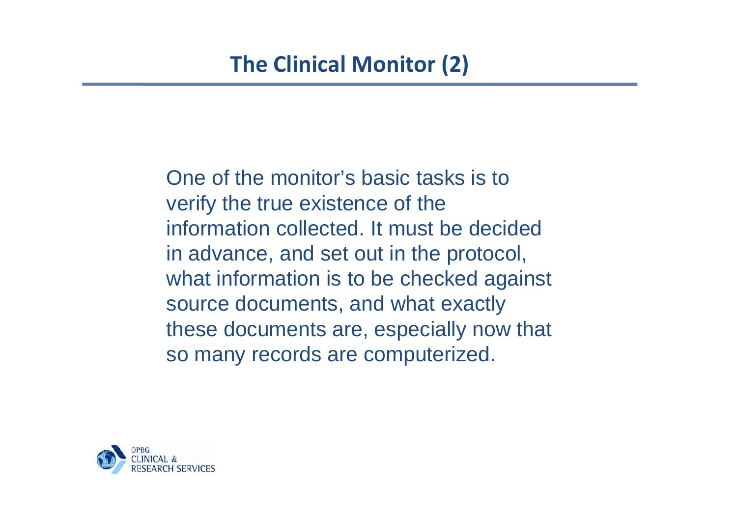One of the monitor's basic tasks is to verify the true existence of the information collected. It must be decided in advance, and set out in the protocol, what information is to be checked against source documents, and what exactly these documents are, especially now that so many records are computerized.

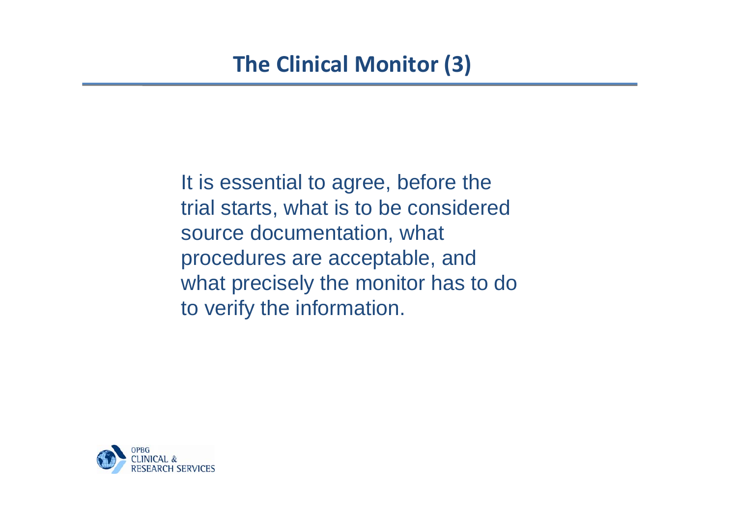It is essential to agree, before the trial starts, what is to be considered source documentation, what procedures are acceptable, and what precisely the monitor has to do to verify the information.

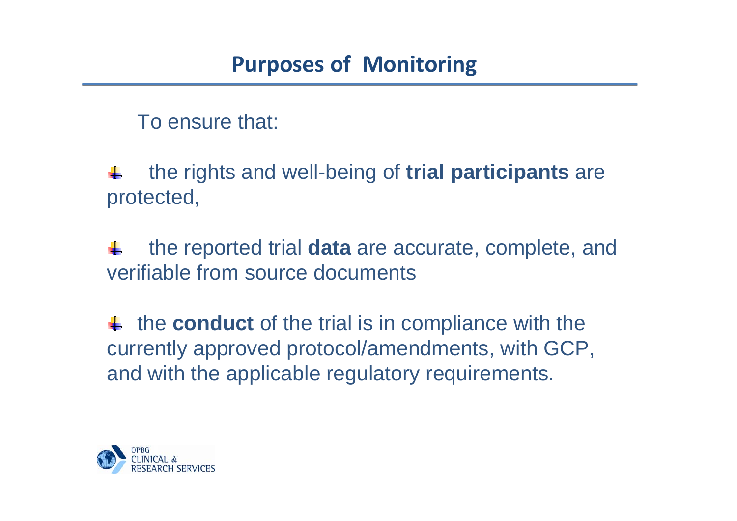To ensure that:

the rights and well-being of **trial participants** are protected,

the reported trial **data** are accurate, complete, and verifiable from source documents

the **conduct** of the trial is in compliance with the currently approved protocol/amendments, with GCP, and with the applicable regulatory requirements.

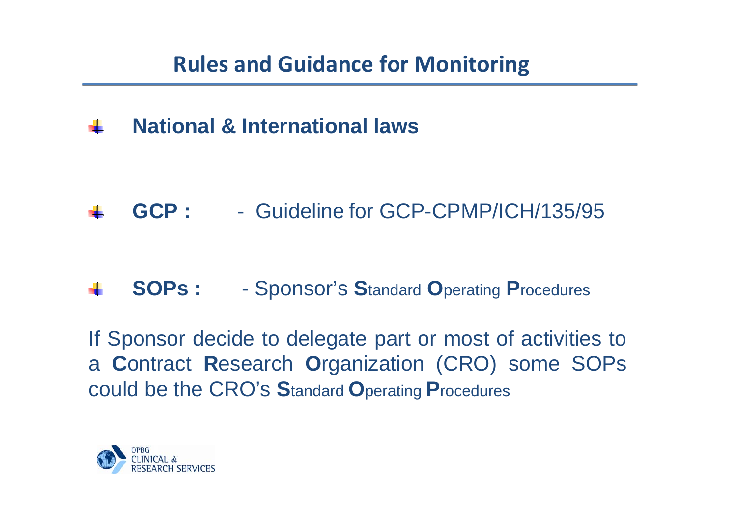## **National & International laws**

# **GCP :** - Guideline for GCP-CPMP/ICH/135/95

#### **SOPs:** - Sponsor's **S**tandard **O**perating **P**rocedures

If Sponsor decide to delegate part or most of activities to a **C**ontract **R**esearch **O**rganization (CRO) some SOPs could be the CRO's **S**tandard **O**perating **P**rocedures

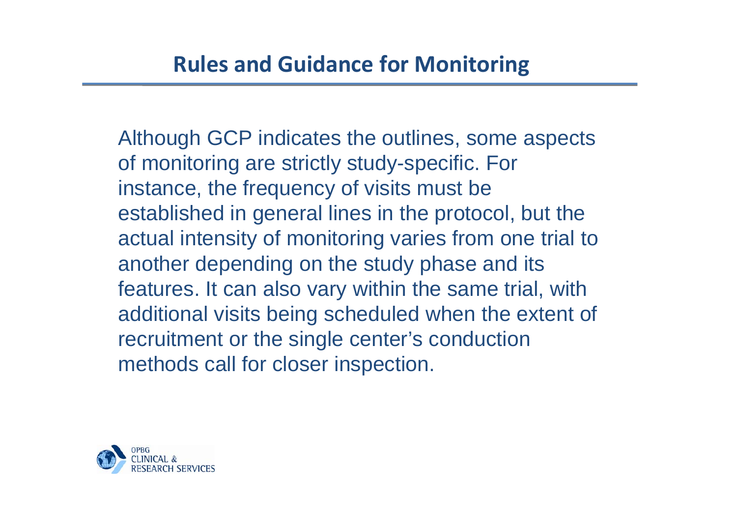Although GCP indicates the outlines, some aspects of monitoring are strictly study-specific. For instance, the frequency of visits must be established in general lines in the protocol, but the actual intensity of monitoring varies from one trial to another depending on the study phase and its features. It can also vary within the same trial, with additional visits being scheduled when the extent of recruitment or the single center's conduction methods call for closer inspection.

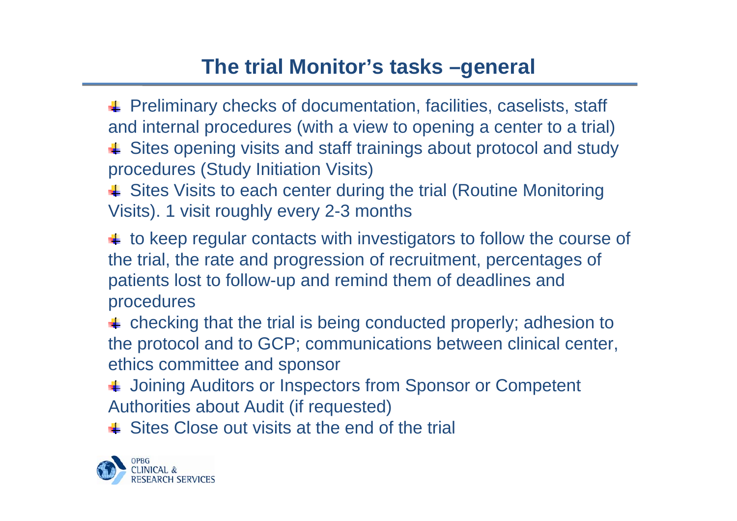## **The trial Monitor's tasks –general**

**FREMIGEORY FEEDIM** Preliminary checks of documentation, facilities, caselists, staff and internal procedures (with a view to opening a center to a trial)  $\text{■}$  Sites opening visits and staff trainings about protocol and study procedures (Study Initiation Visits)

↓ Sites Visits to each center during the trial (Routine Monitoring Visits). 1 visit roughly every 2-3 months

 $\ddot{\bullet}$  to keep regular contacts with investigators to follow the course of the trial, the rate and progression of recruitment, percentages of patients lost to follow-up and remind them of deadlines and procedures

 $\triangleq$  checking that the trial is being conducted properly; adhesion to the protocol and to GCP; communications between clinical center, ethics committee and sponsor

↓ Joining Auditors or Inspectors from Sponsor or Competent Authorities about Audit (if requested)

 $\bigoplus$  Sites Close out visits at the end of the trial

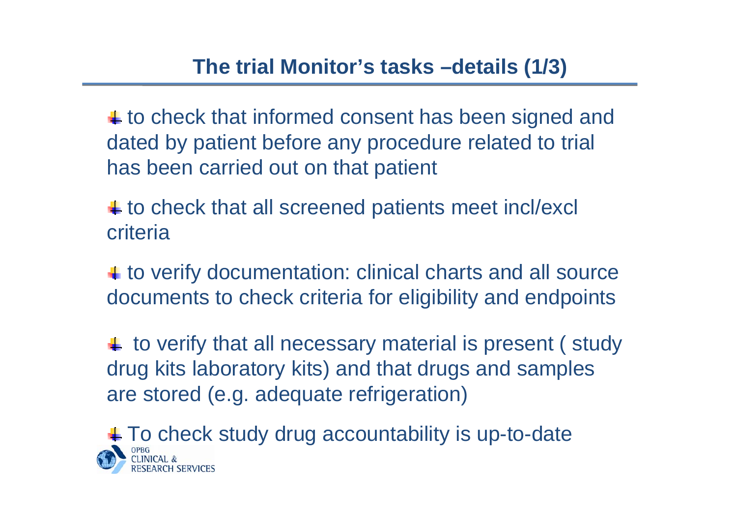$\ddagger$  to check that informed consent has been signed and dated by patient before any procedure related to trial has been carried out on that patient

 $\pm$  to check that all screened patients meet incl/excl criteria

 $\uparrow$  to verify documentation: clinical charts and all source documents to check criteria for eligibility and endpoints

 $\uparrow\uparrow$  to verify that all necessary material is present (study drug kits laboratory kits) and that drugs and samples are stored (e.g. adequate refrigeration)

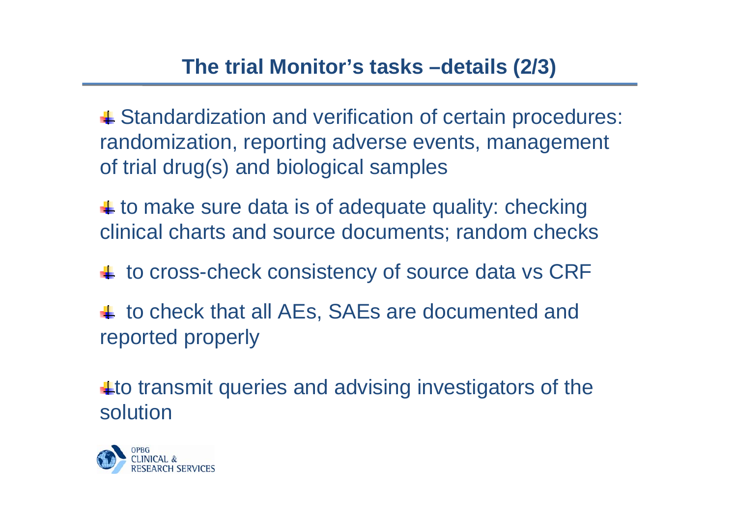$\text{■}$  **Standardization and verification of certain procedures:** randomization, reporting adverse events, management of trial drug(s) and biological samples

 $\ddot{\bullet}$  to make sure data is of adequate quality: checking clinical charts and source documents; random checks

 $\pm$  to cross-check consistency of source data vs CRF

 $\downarrow$  to check that all AEs, SAEs are documented and reported properly

 $\pm$  to transmit queries and advising investigators of the solution

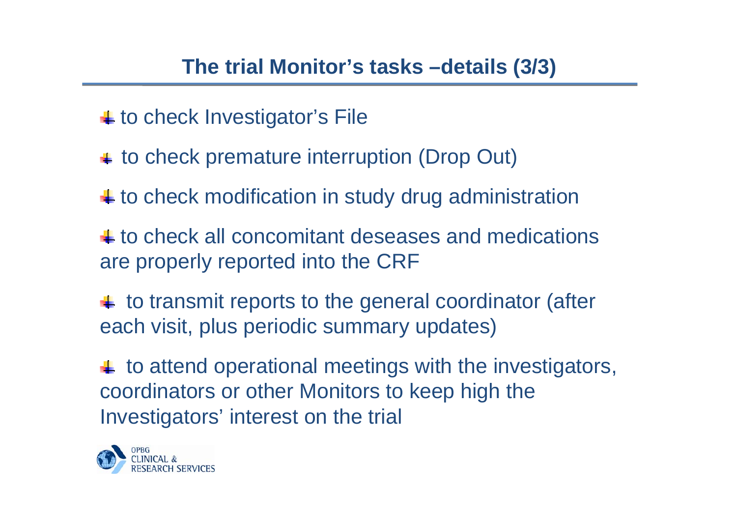$\pm$  to check Investigator's File

- $\overline{\phantom{a}}$  to check premature interruption (Drop Out)
- $\pm$  to check modification in study drug administration
- to check all concomitant deseases and medications are properly reported into the CRF
- $\ddot{\bullet}$  to transmit reports to the general coordinator (after each visit, plus periodic summary updates)
- $\ddagger$  to attend operational meetings with the investigators, coordinators or other Monitors to keep high the Investigators' interest on the trial

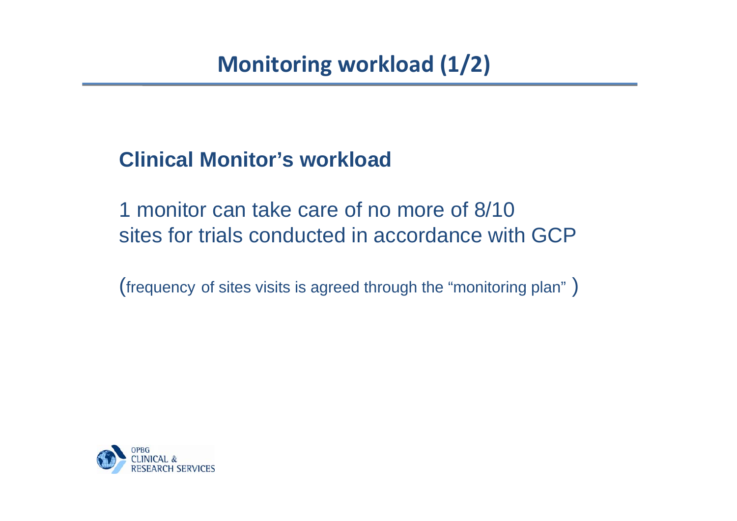#### **Clinical Monitor's workload**

1 monitor can take care of no more of 8/10 sites for trials conducted in accordance with GCP

(frequency of sites visits is agreed through the "monitoring plan" )

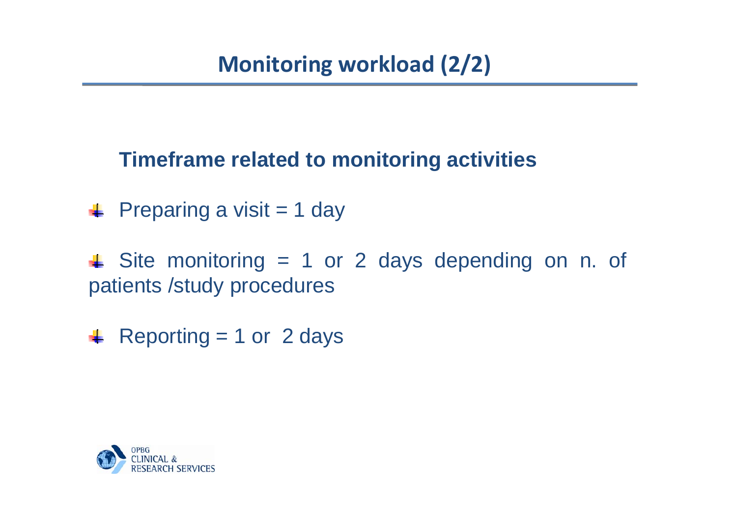#### **Timeframe related to monitoring activities**

 $\textcolor{red}{\bullet}$  Preparing a visit = 1 day

 $\triangleq$  Site monitoring = 1 or 2 days depending on n. of patients /study procedures

 $\textcolor{red}{\bullet}$  Reporting = 1 or 2 days

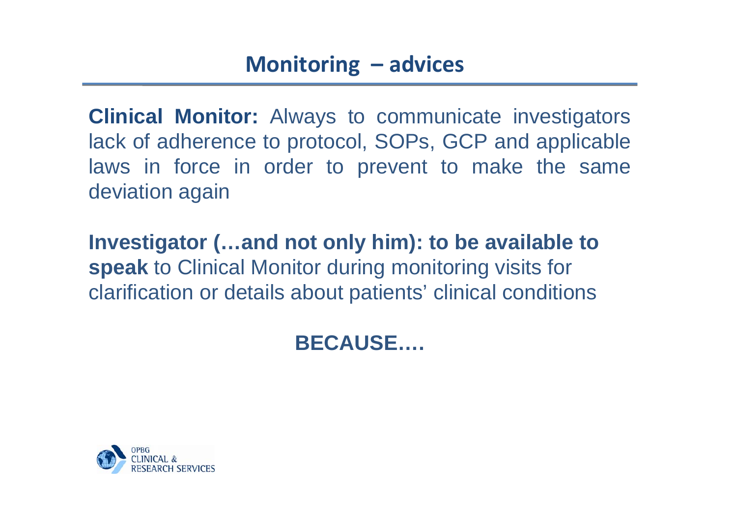**Clinical Monitor:** Always to communicate investigators lack of adherence to protocol, SOPs, GCP and applicable laws in force in order to prevent to make the same deviation again

**Investigator (…and not only him): to be available to speak** to Clinical Monitor during monitoring visits for clarification or details about patients' clinical conditions

## **BECAUSE….**

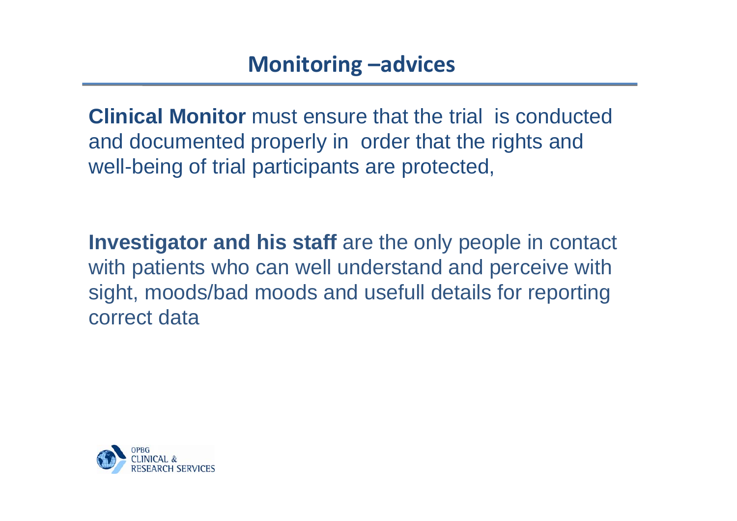**Clinical Monitor** must ensure that the trial is conducted and documented properly in order that the rights and well-being of trial participants are protected,

**Investigator and his staff** are the only people in contact with patients who can well understand and perceive with sight, moods/bad moods and usefull details for reporting correct data